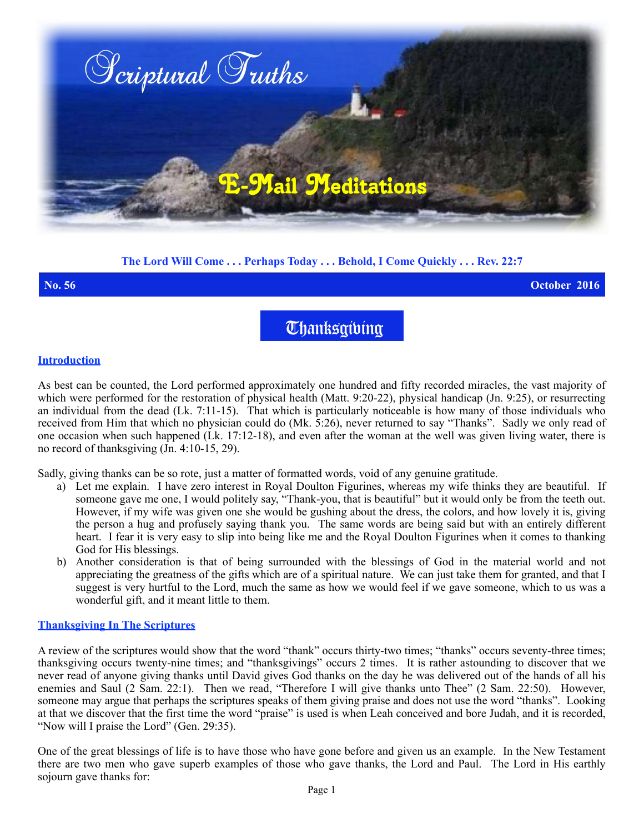

# **The Lord Will Come . . . Perhaps Today . . . Behold, I Come Quickly . . . Rev. 22:7**

**No. 56 October 2016**

**Thanksgibing** 

### **Introduction**

As best can be counted, the Lord performed approximately one hundred and fifty recorded miracles, the vast majority of which were performed for the restoration of physical health (Matt. 9:20-22), physical handicap (Jn. 9:25), or resurrecting an individual from the dead (Lk. 7:11-15). That which is particularly noticeable is how many of those individuals who received from Him that which no physician could do (Mk. 5:26), never returned to say "Thanks". Sadly we only read of one occasion when such happened (Lk. 17:12-18), and even after the woman at the well was given living water, there is no record of thanksgiving (Jn. 4:10-15, 29).

Sadly, giving thanks can be so rote, just a matter of formatted words, void of any genuine gratitude.

- a) Let me explain. I have zero interest in Royal Doulton Figurines, whereas my wife thinks they are beautiful. If someone gave me one, I would politely say, "Thank-you, that is beautiful" but it would only be from the teeth out. However, if my wife was given one she would be gushing about the dress, the colors, and how lovely it is, giving the person a hug and profusely saying thank you. The same words are being said but with an entirely different heart. I fear it is very easy to slip into being like me and the Royal Doulton Figurines when it comes to thanking God for His blessings.
- b) Another consideration is that of being surrounded with the blessings of God in the material world and not appreciating the greatness of the gifts which are of a spiritual nature. We can just take them for granted, and that I suggest is very hurtful to the Lord, much the same as how we would feel if we gave someone, which to us was a wonderful gift, and it meant little to them.

## **Thanksgiving In The Scriptures**

A review of the scriptures would show that the word "thank" occurs thirty-two times; "thanks" occurs seventy-three times; thanksgiving occurs twenty-nine times; and "thanksgivings" occurs 2 times. It is rather astounding to discover that we never read of anyone giving thanks until David gives God thanks on the day he was delivered out of the hands of all his enemies and Saul (2 Sam. 22:1). Then we read, "Therefore I will give thanks unto Thee" (2 Sam. 22:50). However, someone may argue that perhaps the scriptures speaks of them giving praise and does not use the word "thanks". Looking at that we discover that the first time the word "praise" is used is when Leah conceived and bore Judah, and it is recorded, "Now will I praise the Lord" (Gen. 29:35).

One of the great blessings of life is to have those who have gone before and given us an example. In the New Testament there are two men who gave superb examples of those who gave thanks, the Lord and Paul. The Lord in His earthly sojourn gave thanks for: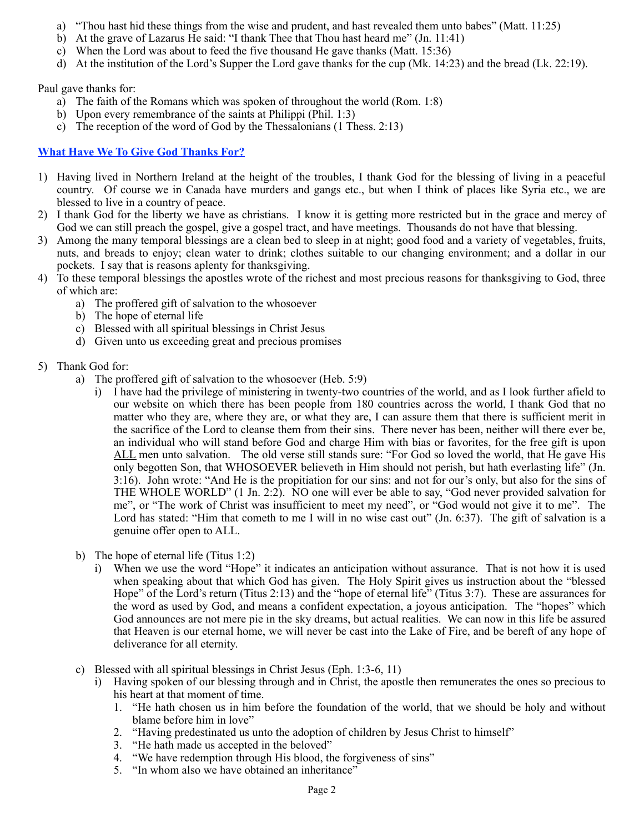- a) "Thou hast hid these things from the wise and prudent, and hast revealed them unto babes" (Matt. 11:25)
- b) At the grave of Lazarus He said: "I thank Thee that Thou hast heard me" (Jn. 11:41)
- c) When the Lord was about to feed the five thousand He gave thanks (Matt. 15:36)
- d) At the institution of the Lord's Supper the Lord gave thanks for the cup (Mk. 14:23) and the bread (Lk. 22:19).

Paul gave thanks for:

- a) The faith of the Romans which was spoken of throughout the world (Rom. 1:8)
- b) Upon every remembrance of the saints at Philippi (Phil. 1:3)
- c) The reception of the word of God by the Thessalonians (1 Thess. 2:13)

## **What Have We To Give God Thanks For?**

- 1) Having lived in Northern Ireland at the height of the troubles, I thank God for the blessing of living in a peaceful country. Of course we in Canada have murders and gangs etc., but when I think of places like Syria etc., we are blessed to live in a country of peace.
- 2) I thank God for the liberty we have as christians. I know it is getting more restricted but in the grace and mercy of God we can still preach the gospel, give a gospel tract, and have meetings. Thousands do not have that blessing.
- 3) Among the many temporal blessings are a clean bed to sleep in at night; good food and a variety of vegetables, fruits, nuts, and breads to enjoy; clean water to drink; clothes suitable to our changing environment; and a dollar in our pockets. I say that is reasons aplenty for thanksgiving.
- 4) To these temporal blessings the apostles wrote of the richest and most precious reasons for thanksgiving to God, three of which are:
	- a) The proffered gift of salvation to the whosoever
	- b) The hope of eternal life
	- c) Blessed with all spiritual blessings in Christ Jesus
	- d) Given unto us exceeding great and precious promises
- 5) Thank God for:
	- a) The proffered gift of salvation to the whosoever (Heb. 5:9)
		- i) I have had the privilege of ministering in twenty-two countries of the world, and as I look further afield to our website on which there has been people from 180 countries across the world, I thank God that no matter who they are, where they are, or what they are, I can assure them that there is sufficient merit in the sacrifice of the Lord to cleanse them from their sins. There never has been, neither will there ever be, an individual who will stand before God and charge Him with bias or favorites, for the free gift is upon ALL men unto salvation. The old verse still stands sure: "For God so loved the world, that He gave His only begotten Son, that WHOSOEVER believeth in Him should not perish, but hath everlasting life" (Jn. 3:16). John wrote: "And He is the propitiation for our sins: and not for our's only, but also for the sins of THE WHOLE WORLD" (1 Jn. 2:2). NO one will ever be able to say, "God never provided salvation for me", or "The work of Christ was insufficient to meet my need", or "God would not give it to me". The Lord has stated: "Him that cometh to me I will in no wise cast out" (Jn. 6:37). The gift of salvation is a genuine offer open to ALL.
	- b) The hope of eternal life (Titus 1:2)
		- i) When we use the word "Hope" it indicates an anticipation without assurance. That is not how it is used when speaking about that which God has given. The Holy Spirit gives us instruction about the "blessed Hope" of the Lord's return (Titus 2:13) and the "hope of eternal life" (Titus 3:7). These are assurances for the word as used by God, and means a confident expectation, a joyous anticipation. The "hopes" which God announces are not mere pie in the sky dreams, but actual realities. We can now in this life be assured that Heaven is our eternal home, we will never be cast into the Lake of Fire, and be bereft of any hope of deliverance for all eternity.
	- c) Blessed with all spiritual blessings in Christ Jesus (Eph. 1:3-6, 11)
		- i) Having spoken of our blessing through and in Christ, the apostle then remunerates the ones so precious to his heart at that moment of time.
			- 1. "He hath chosen us in him before the foundation of the world, that we should be holy and without blame before him in love"
			- 2. "Having predestinated us unto the adoption of children by Jesus Christ to himself"
			- 3. "He hath made us accepted in the beloved"
			- 4. "We have redemption through His blood, the forgiveness of sins"
			- 5. "In whom also we have obtained an inheritance"